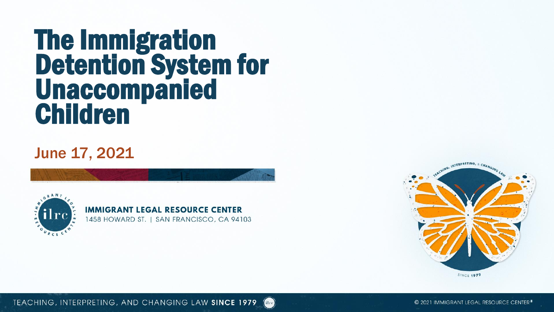# The Immigration Detention System for Unaccompanied Children

June 17, 2021



**IMMIGRANT LEGAL RESOURCE CENTER** 1458 HOWARD ST. | SAN FRANCISCO, CA 94103

 $_{\rm{filter}}$ 



TEACHING, INTERPRETING, AND CHANGING LAW SINCE 1979

© 2021 IMMIGRANT LEGAL RESOURCE CENTER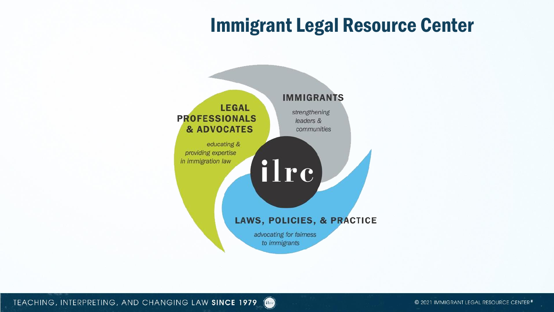## Immigrant Legal Resource Center



 $\left($ ilre $\right)$ 

TEACHING, INTERPRETING, AND CHANGING LAW SINCE 1979

© 2021 IMMIGRANT LEGAL RESOURCE CENTER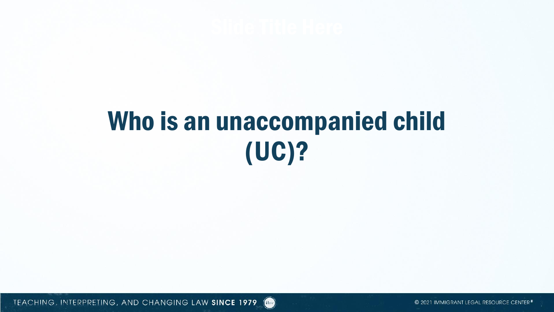# Who is an unaccompanied child (UC)?

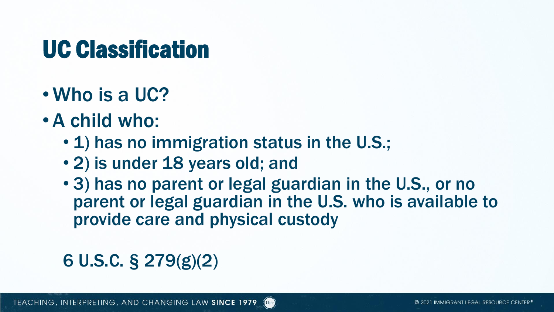## UC Classification

- Who is a UC?
- •A child who:
	- 1) has no immigration status in the U.S.;
	- 2) is under 18 years old; and
	- 3) has no parent or legal guardian in the U.S., or no parent or legal guardian in the U.S. who is available to provide care and physical custody

## 6 U.S.C. § 279(g)(2)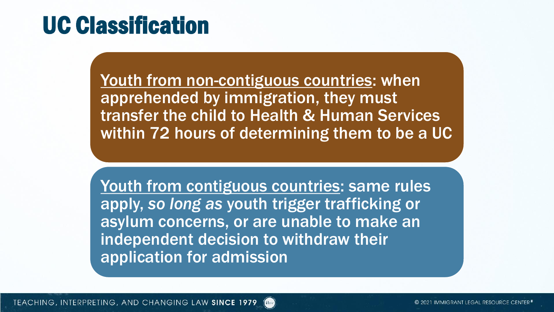## UC Classification

Youth from non-contiguous countries: when apprehended by immigration, they must transfer the child to Health & Human Services within 72 hours of determining them to be a UC

Youth from contiguous countries: same rules apply, *so long as* youth trigger trafficking or asylum concerns, or are unable to make an independent decision to withdraw their application for admission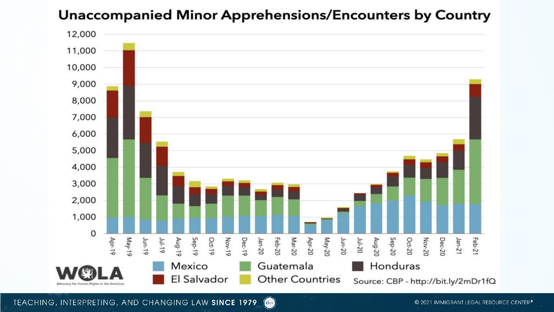### Unaccompanied Minor Apprehensions/Encounters by Country



TEACHING, INTERPRETING, AND CHANGING LAW SINCE 1979  $\int$ ilre)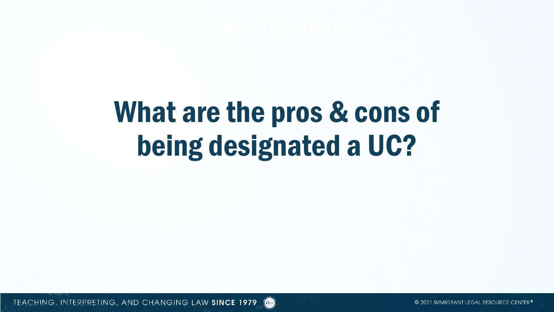# What are the pros & cons of being designated a UC?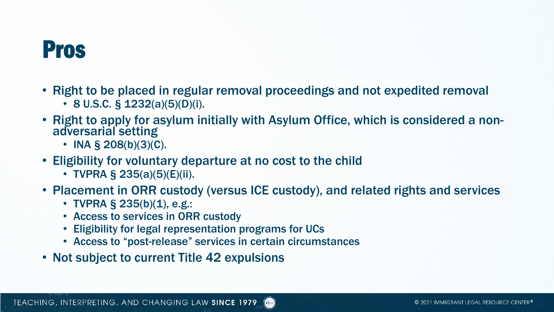## Pros

- Right to be placed in regular removal proceedings and not expedited removal
	- 8 U.S.C. § 1232(a)(5)(D)(i).
- Right to apply for asylum initially with Asylum Office, which is considered a nonadversarial setting
	- INA § 208(b)(3)(C).
- Eligibility for voluntary departure at no cost to the child
	- TVPRA § 235(a)(5)(E)(ii).
- Placement in ORR custody (versus ICE custody), and related rights and services
	- TVPRA § 235(b)(1), e.g.:
	- Access to services in ORR custody
	- Eligibility for legal representation programs for UCs
	- Access to "post-release" services in certain circumstances
- Not subject to current Title 42 expulsions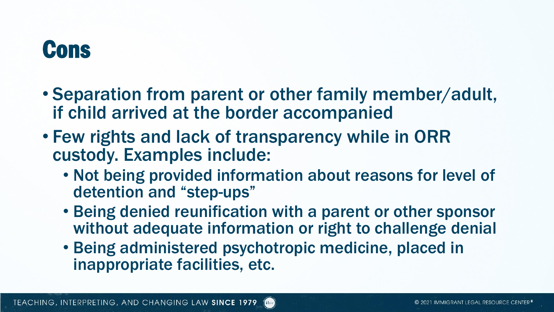# **Cons**

- Separation from parent or other family member/adult, if child arrived at the border accompanied
- Few rights and lack of transparency while in ORR custody. Examples include:
	- Not being provided information about reasons for level of detention and "step-ups"
	- Being denied reunification with a parent or other sponsor without adequate information or right to challenge denial
	- Being administered psychotropic medicine, placed in inappropriate facilities, etc.

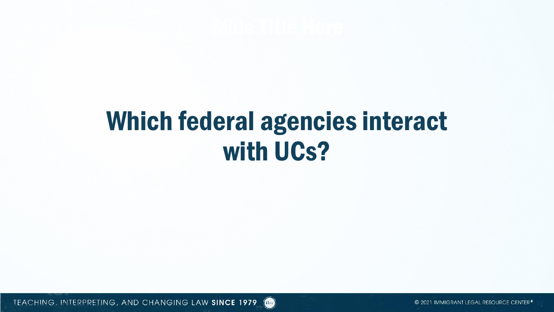# Which federal agencies interact with UCs?

TEACHING, INTERPRETING, AND CHANGING LAW SINCE 1979 **(Inc.** 2021 Control of 2021 Immigrant Legal Resource Center<sup>s</sup>

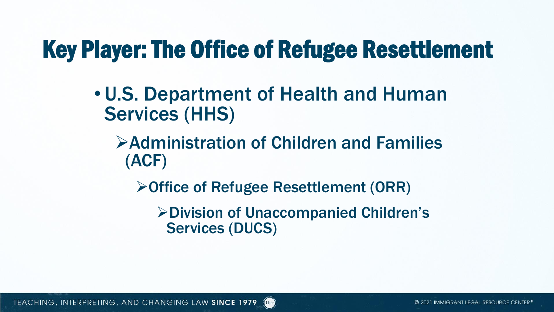## Key Player: The Office of Refugee Resettlement

- U.S. Department of Health and Human Services (HHS)
	- ➢Administration of Children and Families (ACF)
		- ➢Office of Refugee Resettlement (ORR)

d Hre

➢Division of Unaccompanied Children's Services (DUCS)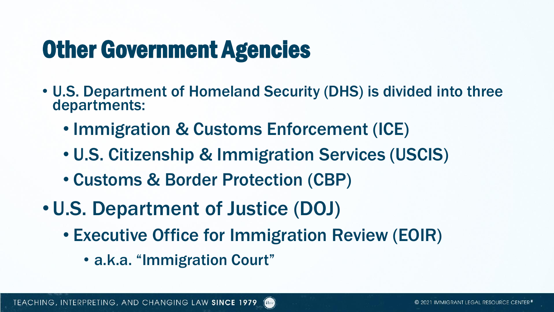# Other Government Agencies

- U.S. Department of Homeland Security (DHS) is divided into three departments:
	- Immigration & Customs Enforcement (ICE)
	- U.S. Citizenship & Immigration Services (USCIS)
	- Customs & Border Protection (CBP)
- U.S. Department of Justice (DOJ)
	- Executive Office for Immigration Review (EOIR)
		- a.k.a. "Immigration Court"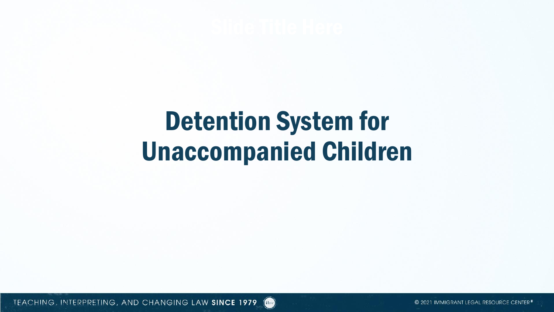# Detention System for Unaccompanied Children

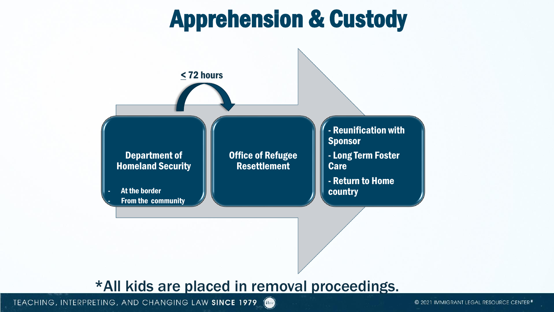# Apprehension & Custody



### \*All kids are placed in removal proceedings.

TEACHING, INTERPRETING, AND CHANGING LAW SINCE 1979

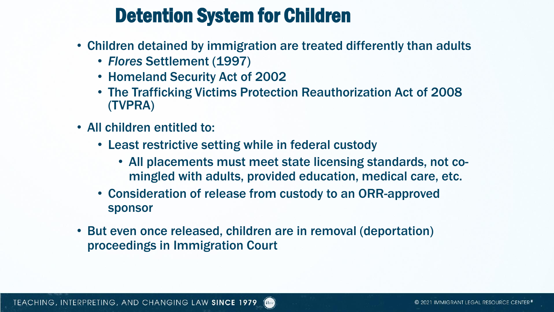## Detention System for Children

- Children detained by immigration are treated differently than adults
	- *Flores* Settlement (1997)
	- Homeland Security Act of 2002
	- The Trafficking Victims Protection Reauthorization Act of 2008 (TVPRA)
- All children entitled to:
	- Least restrictive setting while in federal custody
		- All placements must meet state licensing standards, not comingled with adults, provided education, medical care, etc.
	- Consideration of release from custody to an ORR-approved sponsor
- But even once released, children are in removal (deportation) proceedings in Immigration Court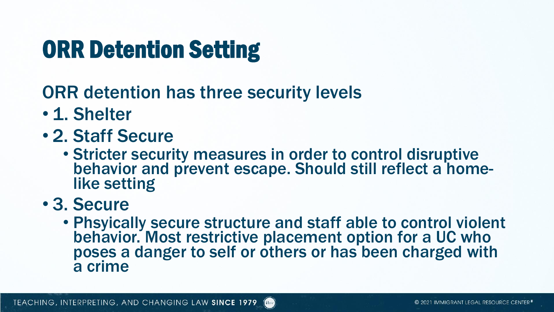# ORR Detention Setting

## ORR detention has three security levels

- 1. Shelter
- 2. Staff Secure
	- Stricter security measures in order to control disruptive behavior and prevent escape. Should still reflect a homelike setting

## • 3. Secure

• Phsyically secure structure and staff able to control violent behavior. Most restrictive placement option for a UC who poses a danger to self or others or has been charged with a crime

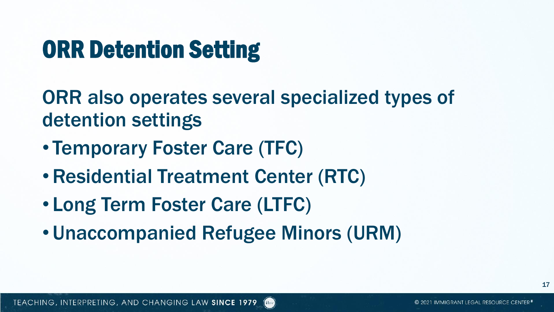# ORR Detention Setting

ORR also operates several specialized types of detention settings

d Hre

- Temporary Foster Care (TFC)
- •Residential Treatment Center (RTC)
- Long Term Foster Care (LTFC)
- Unaccompanied Refugee Minors (URM)

17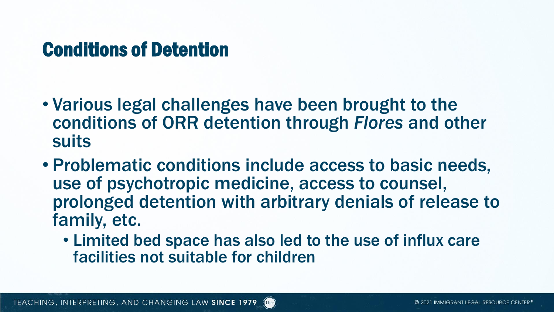## Conditions of Detention

- Various legal challenges have been brought to the conditions of ORR detention through *Flores* and other suits
- Problematic conditions include access to basic needs, use of psychotropic medicine, access to counsel, prolonged detention with arbitrary denials of release to family, etc.
	- Limited bed space has also led to the use of influx care facilities not suitable for children

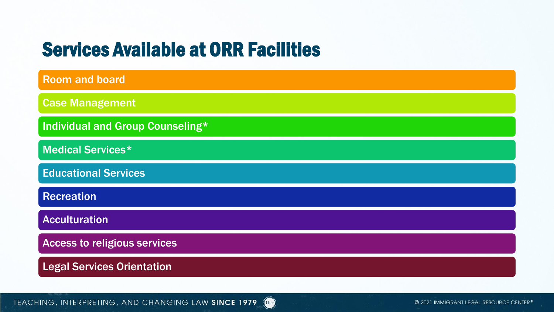## Services Available at ORR Facilities

| <b>Room and board</b>                   |
|-----------------------------------------|
| <b>Case Management</b>                  |
| <b>Individual and Group Counseling*</b> |
| <b>Medical Services*</b>                |
| <b>Educational Services</b>             |
| <b>Recreation</b>                       |
| <b>Acculturation</b>                    |
| <b>Access to religious services</b>     |
| <b>Legal Services Orientation</b>       |

TEACHING, INTERPRETING, AND CHANGING LAW SINCE 1979

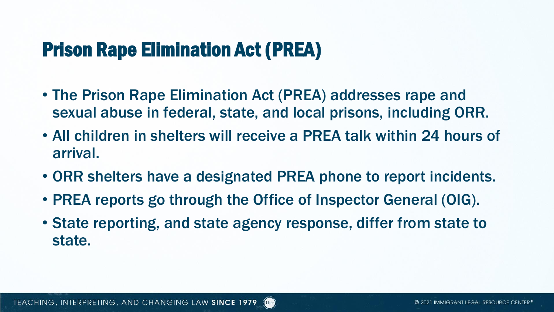## Prison Rape Elimination Act (PREA)

- The Prison Rape Elimination Act (PREA) addresses rape and sexual abuse in federal, state, and local prisons, including ORR.
- All children in shelters will receive a PREA talk within 24 hours of arrival.
- ORR shelters have a designated PREA phone to report incidents.
- PREA reports go through the Office of Inspector General (OIG).
- State reporting, and state agency response, differ from state to state.

d Hre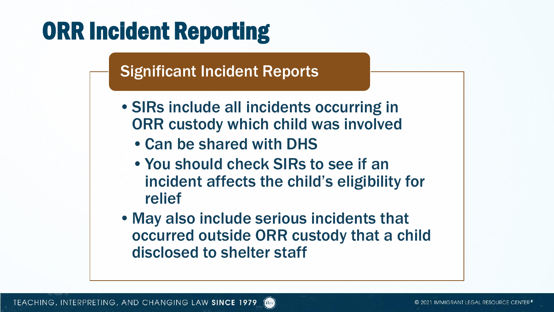# ORR Incident Reporting

### Significant Incident Reports

- •SIRs include all incidents occurring in ORR custody which child was involved
	- •Can be shared with DHS
	- •You should check SIRs to see if an incident affects the child's eligibility for relief
- •May also include serious incidents that occurred outside ORR custody that a child disclosed to shelter staff

dilre.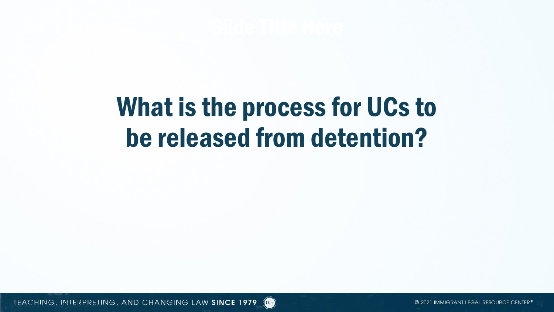# What is the process for UCs to be released from detention?

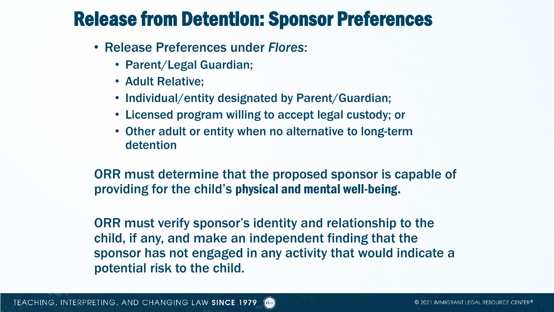## Release from Detention: Sponsor Preferences

- Release Preferences under *Flores*:
	- Parent/Legal Guardian;
	- Adult Relative;
	- Individual/entity designated by Parent/Guardian;
	- Licensed program willing to accept legal custody; or
	- Other adult or entity when no alternative to long-term detention

ORR must determine that the proposed sponsor is capable of providing for the child's physical and mental well-being.

ORR must verify sponsor's identity and relationship to the child, if any, and make an independent finding that the sponsor has not engaged in any activity that would indicate a potential risk to the child.

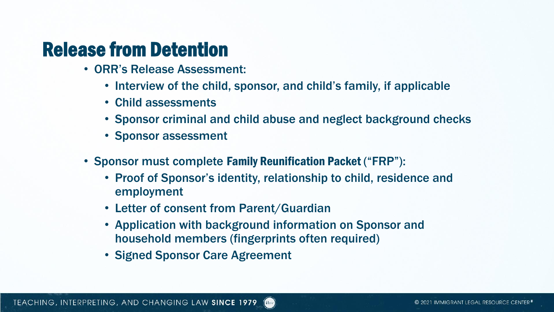## Release from Detention

- ORR's Release Assessment:
	- Interview of the child, sponsor, and child's family, if applicable
	- Child assessments
	- Sponsor criminal and child abuse and neglect background checks
	- Sponsor assessment
- Sponsor must complete Family Reunification Packet ("FRP"):
	- Proof of Sponsor's identity, relationship to child, residence and employment
	- Letter of consent from Parent/Guardian
	- Application with background information on Sponsor and household members (fingerprints often required)
	- Signed Sponsor Care Agreement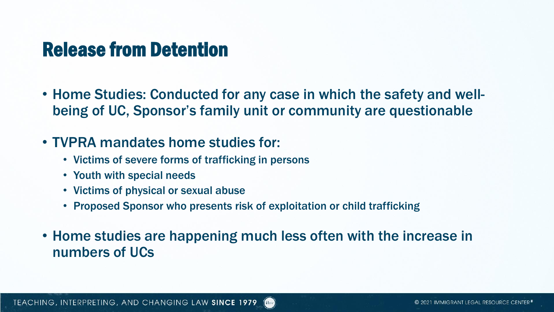## Release from Detention

• Home Studies: Conducted for any case in which the safety and wellbeing of UC, Sponsor's family unit or community are questionable

### • TVPRA mandates home studies for:

- Victims of severe forms of trafficking in persons
- Youth with special needs
- Victims of physical or sexual abuse
- Proposed Sponsor who presents risk of exploitation or child trafficking
- Home studies are happening much less often with the increase in numbers of UCs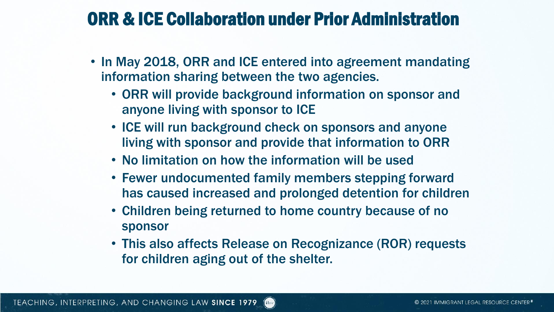## ORR & ICE Collaboration under Prior Administration

- In May 2018, ORR and ICE entered into agreement mandating information sharing between the two agencies.
	- ORR will provide background information on sponsor and anyone living with sponsor to ICE
	- ICE will run background check on sponsors and anyone living with sponsor and provide that information to ORR
	- No limitation on how the information will be used
	- Fewer undocumented family members stepping forward has caused increased and prolonged detention for children
	- Children being returned to home country because of no sponsor
	- This also affects Release on Recognizance (ROR) requests for children aging out of the shelter.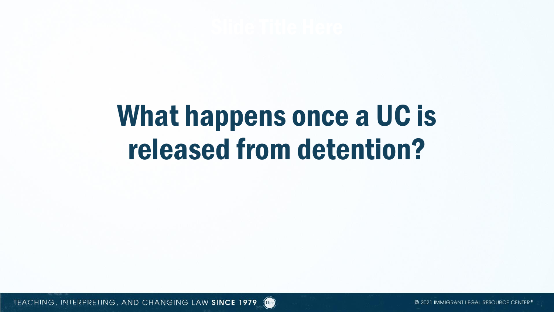# What happens once a UC is released from detention?

TEACHING, INTERPRETING, AND CHANGING LAW SINCE 1979 (THE SUBSECTION CONTROL TO A 2021 IMMIGRANT LEGAL RESOURCE CENTER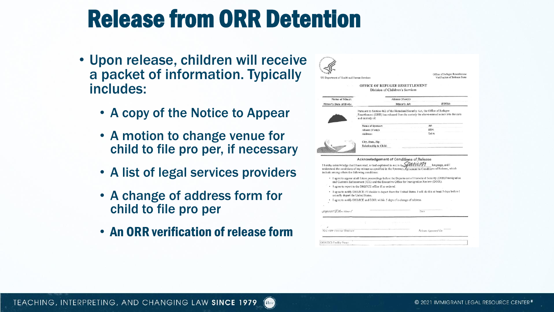## Release from ORR Detention

- Upon release, children will receive a packet of information. Typically includes:
	- A copy of the Notice to Appear
	- A motion to change venue for child to file pro per, if necessary
	- A list of legal services providers
	- A change of address form for child to file pro per
	- An ORR verification of release form

| US Department of Health and Human Services     |                                                                                                                           |                                                                             | Office of Refugee Resettlement<br>Verification of Release Form                                                                     |
|------------------------------------------------|---------------------------------------------------------------------------------------------------------------------------|-----------------------------------------------------------------------------|------------------------------------------------------------------------------------------------------------------------------------|
|                                                |                                                                                                                           | OFFICE OF REFUGEE RESETTLEMENT<br>Division of Children's Services           |                                                                                                                                    |
| Name of Minor:                                 |                                                                                                                           | Aliases (if any):                                                           |                                                                                                                                    |
| Minor's Date of Birth:                         |                                                                                                                           | Minor's A#:                                                                 | FINS#:                                                                                                                             |
|                                                | and custody of:                                                                                                           | Pursuant to Section 462 of the Homeland Security Act, the Office of Refugee | Resettlement (ORR) has released from its custody the above-named minor into the care                                               |
|                                                | Name of Sponsor:                                                                                                          |                                                                             | A#:                                                                                                                                |
|                                                | Aliases (if any):                                                                                                         |                                                                             | SSN:                                                                                                                               |
|                                                | Address:                                                                                                                  |                                                                             | Tel #:                                                                                                                             |
|                                                | Relationship to Child:                                                                                                    |                                                                             |                                                                                                                                    |
|                                                |                                                                                                                           |                                                                             |                                                                                                                                    |
| include among others the following conditions: | Acknowledgement of Conditions of Release<br>I hereby acknowledge that I have read, or had explained to me in the Spall UM |                                                                             | language, and I<br>understand the conditions of my release as specified in the Sponsor's Agreement to Conditions of Release, which |
|                                                | and Customs Enforcement (ICE) and the Executive Office for Immigration Review (EOIR).                                     |                                                                             | · I agree to appear at all future proceedings before the Department of Homeland Security (DHS)/Immigration                         |
| actually depart the United States.             | I agree to report to the DHS/ICE office if so ordered.                                                                    |                                                                             | - I agree to notify DHS/ICE if I decide to depart from the United States. I will do this at least 5 days before I                  |
|                                                | I agree to notify DHS/ICE and EOIR within 5 days of a change of address.                                                  |                                                                             |                                                                                                                                    |
| Bighaine of Allen Minor C                      |                                                                                                                           |                                                                             | Date                                                                                                                               |
|                                                |                                                                                                                           |                                                                             |                                                                                                                                    |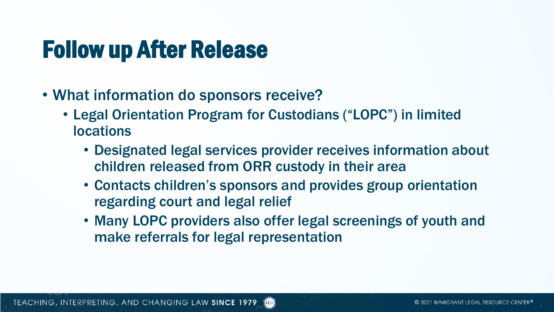# Follow up After Release

- What information do sponsors receive?
	- Legal Orientation Program for Custodians ("LOPC") in limited **locations** 
		- Designated legal services provider receives information about children released from ORR custody in their area
		- Contacts children's sponsors and provides group orientation regarding court and legal relief
		- Many LOPC providers also offer legal screenings of youth and make referrals for legal representation

dilre.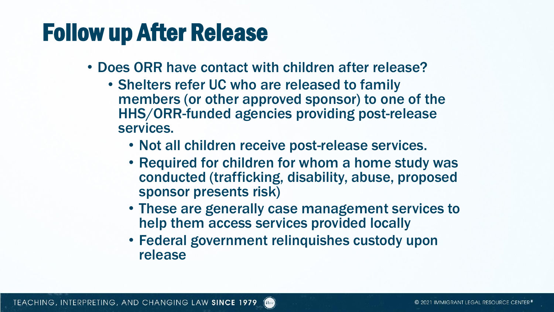## Follow up After Release

- Does ORR have contact with children after release?
	- Shelters refer UC who are released to family members (or other approved sponsor) to one of the HHS/ORR-funded agencies providing post-release services.
		- Not all children receive post-release services.
		- Required for children for whom a home study was conducted (trafficking, disability, abuse, proposed sponsor presents risk)
		- These are generally case management services to help them access services provided locally
		- Federal government relinquishes custody upon release

d Hre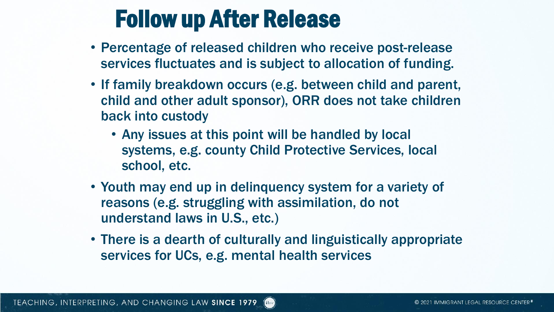## Follow up After Release

- Percentage of released children who receive post-release services fluctuates and is subject to allocation of funding.
- If family breakdown occurs (e.g. between child and parent, child and other adult sponsor), ORR does not take children back into custody
	- Any issues at this point will be handled by local systems, e.g. county Child Protective Services, local school, etc.
- Youth may end up in delinquency system for a variety of reasons (e.g. struggling with assimilation, do not understand laws in U.S., etc.)
- There is a dearth of culturally and linguistically appropriate services for UCs, e.g. mental health services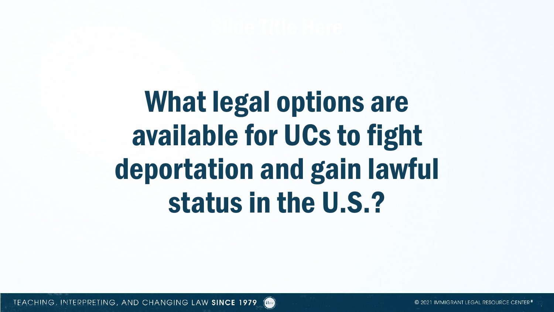What legal options are available for UCs to fight deportation and gain lawful status in the U.S.?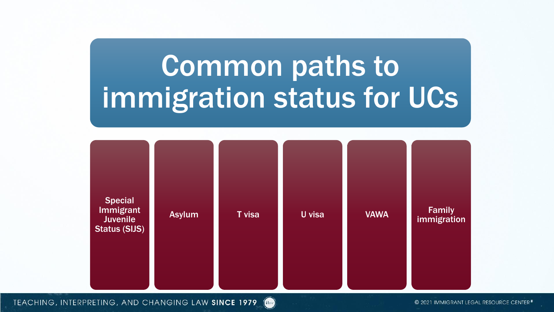# Common paths to immigration status for UCs



TEACHING, INTERPRETING, AND CHANGING LAW SINCE 1979  $\left(\text{ilre}\right)$ 

© 2021 IMMIGRANT LEGAL RESOURCE CENTER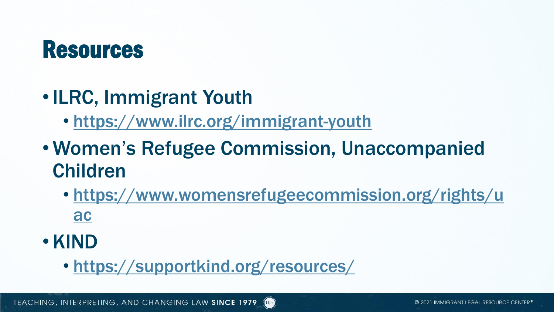## Resources

- •ILRC, Immigrant Youth
	- <https://www.ilrc.org/immigrant-youth>
- Women's Refugee Commission, Unaccompanied Children
	- [https://www.womensrefugeecommission.org/rights/u](https://www.womensrefugeecommission.org/rights/uac) ac
- •KIND
	- <https://supportkind.org/resources/>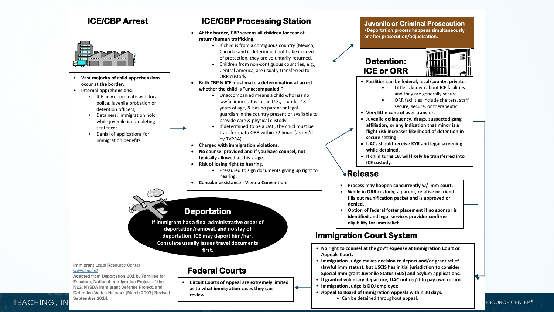#### **ICE/CBP Arrest**



- **ICE Vast majority of child apprehensions occur at the border.**
- **Internal apprehensions:**
	- ICE may coordinate with local police, juvenile probation or detention officers;
	- Detainers: immigration hold while juvenile is completing sentence;
	- Denial of applications for immigration benefits.

#### **ICE/CBP Processing Station**

- **At the border, CBP screens all children for fear of return/human trafficking.**
	- If child is from a contiguous country (Mexico, Canada) and is determined not to be in need of protection, they are voluntarily returned.
	- Children from non-contiguous countries, e.g., Central America, are usually transferred to ORR custody.
- **Both CBP & ICE must make a determination at arrest whether the child is "unaccompanied."**
	- Unaccompanied means a child who has no lawful imm status in the U.S., is under 18 years of age, & has no parent or legal guardian in the country present or available to provide care & physical custody.
	- If determined to be a UAC, the child must be transferred to ORR within 72 hours (as req'd by TVPRA).
- **Charged with immigration violations.**
- **No counsel provided and if you have counsel, not typically allowed at this stage.**
- **Risk of losing right to hearing.**
	- Pressured to sign documents giving up right to hearing.
- **Consular assistance - Vienna Convention.**

#### **Deportation**

**If immigrant has a final administrative order of deportation/removal, and no stay of deportation, ICE may deport him/her. Consulate usually issues travel documents first.**

#### Immigrant Legal Resource Center [www.ilrc.org](http://www.immigrantjusticentwork.org/)

Adapted from Deportation 101 by Families for Freedom, National Immigration Project of the NLG, NYSDA Immigrant Defense Project, and Detention Watch Network (March 2007) Revised September 2014.

#### **Federal Courts**

• **Circuit Courts of Appeal are extremely limited as to what immigration cases they can review.**

#### **Juvenile or Criminal Prosecution** •**Deportation process happens simultaneously or after prosecution/adjudication.**

#### **Detention: ICE or ORR**



- **Facilities can be federal, local/county, private.** 
	- Little is known about ICE facilities and they are generally secure.
	- ORR facilities include shelters, staff secure, secure, or therapeutic.
- **Very little control over transfer.**
- **Juvenile delinquency, drugs, suspected gang affiliation, or any indication that minor is a flight risk increases likelihood of detention in secure setting.**
- **UACs should receive KYR and legal screening while detained.**
- **If child turns 18, will likely be transferred into ICE custody**.

#### **Release**

- **Process may happen concurrently w/ imm court.**
- **While in ORR custody, a parent, relative or friend fills out reunification packet and is approved or denied.**
- **Option of federal foster placement if no sponsor is identified and legal services provider confirms eligibility for imm relief.**

#### **Immigration Court System**

- **No right to counsel at the gov't expense at Immigration Court or Appeals Court.**
- **Immigration Judge makes decision to deport and/or grant relief (lawful imm status), but USCIS has initial jurisdiction to consider Special Immigrant Juvenile Status (SIJS) and asylum applications.**
- **If granted voluntary departure, UAC not req'd to pay own return.**
- **Immigration Judge is DOJ employee.**
- **Appeal to Board of Immigration Appeals within 30 days.** 
	- Can be detained throughout appeal.

#### **ESOURCE CENTER**

#### **TEACHING, IN**